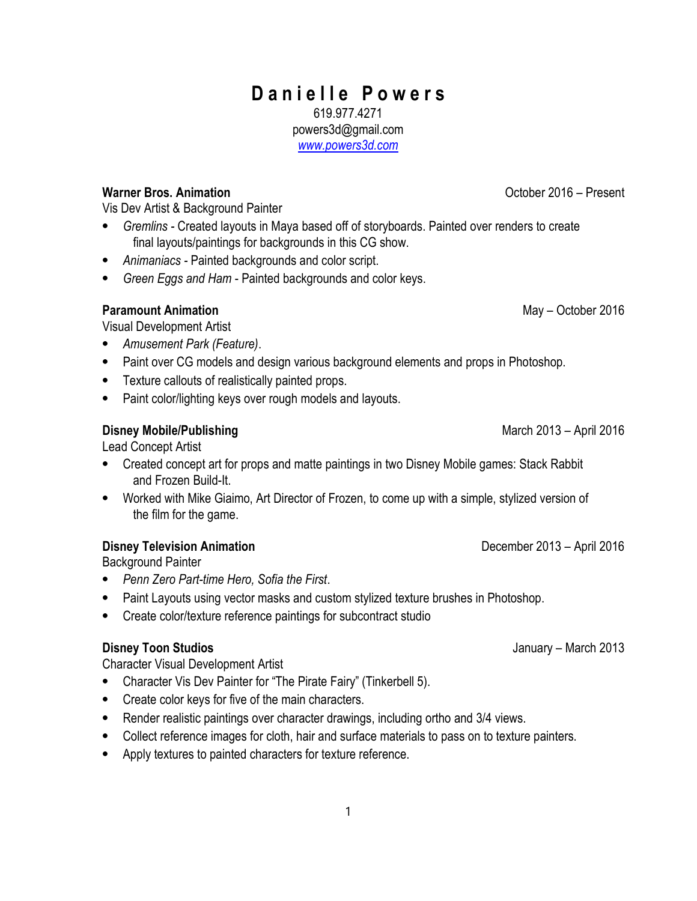#### 1

# Danielle Powers

619.977.4271 powers3d@gmail.com

www.powers3d.com

### Warner Bros. Animation **Contract Contract Contract Contract Contract Contract Contract Contract Contract Contract Contract Contract Contract Contract Contract Contract Contract Contract Contract Contract Contract Contract**

Vis Dev Artist & Background Painter

- ⦁ Gremlins Created layouts in Maya based off of storyboards. Painted over renders to create final layouts/paintings for backgrounds in this CG show.
- ⦁ Animaniacs Painted backgrounds and color script.
- Green Eggs and Ham Painted backgrounds and color keys.

### Paramount Animation May – October 2016

Visual Development Artist

- ⦁ Amusement Park (Feature).
- ⦁ Paint over CG models and design various background elements and props in Photoshop.
- ⦁ Texture callouts of realistically painted props.
- ⦁ Paint color/lighting keys over rough models and layouts.

### Disney Mobile/Publishing March 2013 – April 2016

Lead Concept Artist

- ⦁ Created concept art for props and matte paintings in two Disney Mobile games: Stack Rabbit and Frozen Build-It.
- ⦁ Worked with Mike Giaimo, Art Director of Frozen, to come up with a simple, stylized version of the film for the game.

## Disney Television Animation **December 2013** – April 2016

Background Painter

- ⦁ Penn Zero Part-time Hero, Sofia the First.
- ⦁ Paint Layouts using vector masks and custom stylized texture brushes in Photoshop.
- ⦁ Create color/texture reference paintings for subcontract studio

#### Disney Toon Studios January – March 2013

Character Visual Development Artist

- ⦁ Character Vis Dev Painter for "The Pirate Fairy" (Tinkerbell 5).
- ⦁ Create color keys for five of the main characters.
- ⦁ Render realistic paintings over character drawings, including ortho and 3/4 views.
- ⦁ Collect reference images for cloth, hair and surface materials to pass on to texture painters.
- ⦁ Apply textures to painted characters for texture reference.